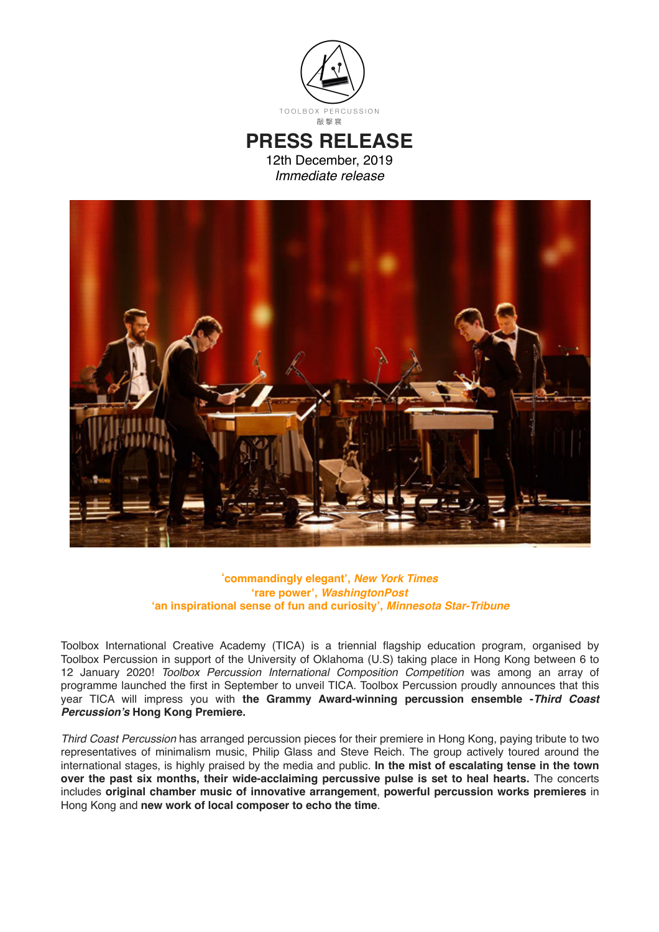

## **PRESS RELEASE**

12th December, 2019 *Immediate release*



## '**commandingly elegant',** *New York Times* **'rare power',** *WashingtonPost* **'an inspirational sense of fun and curiosity',** *Minnesota Star-Tribune*

Toolbox International Creative Academy (TICA) is a triennial flagship education program, organised by Toolbox Percussion in support of the University of Oklahoma (U.S) taking place in Hong Kong between 6 to 12 January 2020! *Toolbox Percussion International Composition Competition* was among an array of programme launched the first in September to unveil TICA. Toolbox Percussion proudly announces that this year TICA will impress you with **the Grammy Award-winning percussion ensemble -***Third Coast Percussion's* **Hong Kong Premiere.**

*Third Coast Percussion* has arranged percussion pieces for their premiere in Hong Kong, paying tribute to two representatives of minimalism music, Philip Glass and Steve Reich. The group actively toured around the international stages, is highly praised by the media and public. **In the mist of escalating tense in the town over the past six months, their wide-acclaiming percussive pulse is set to heal hearts.** The concerts includes **original chamber music of innovative arrangement**, **powerful percussion works premieres** in Hong Kong and **new work of local composer to echo the time**.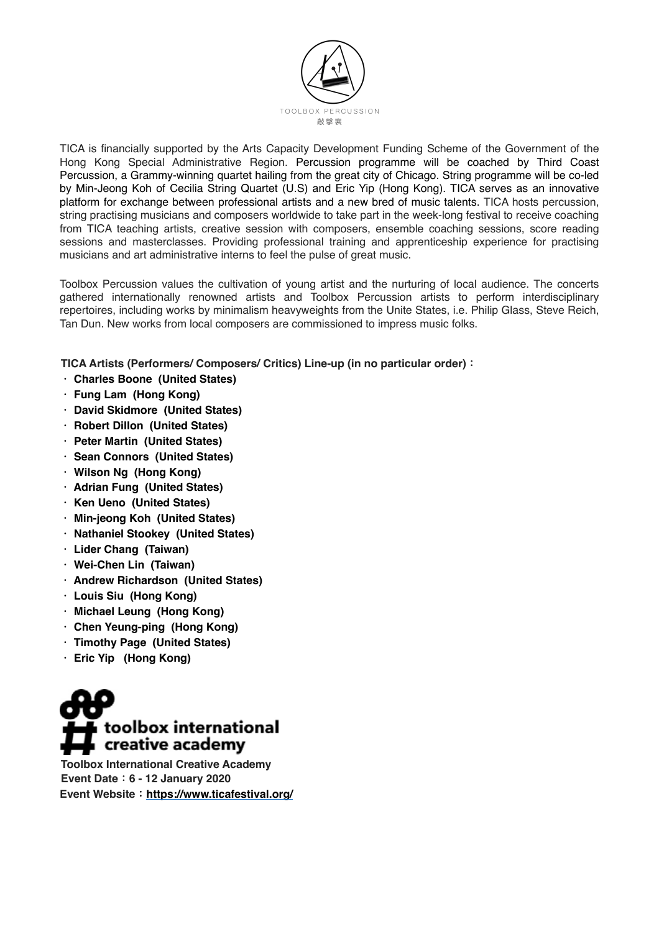

TICA is financially supported by the Arts Capacity Development Funding Scheme of the Government of the Hong Kong Special Administrative Region. Percussion programme will be coached by Third Coast Percussion, a Grammy-winning quartet hailing from the great city of Chicago. String programme will be co-led by Min-Jeong Koh of Cecilia String Quartet (U.S) and Eric Yip (Hong Kong). TICA serves as an innovative platform for exchange between professional artists and a new bred of music talents. TICA hosts percussion, string practising musicians and composers worldwide to take part in the week-long festival to receive coaching from TICA teaching artists, creative session with composers, ensemble coaching sessions, score reading sessions and masterclasses. Providing professional training and apprenticeship experience for practising musicians and art administrative interns to feel the pulse of great music.

Toolbox Percussion values the cultivation of young artist and the nurturing of local audience. The concerts gathered internationally renowned artists and Toolbox Percussion artists to perform interdisciplinary repertoires, including works by minimalism heavyweights from the Unite States, i.e. Philip Glass, Steve Reich, Tan Dun. New works from local composers are commissioned to impress music folks.

**TICA Artists (Performers/ Composers/ Critics) Line-up (in no particular order):**

- **. Charles Boone (United States)**
- **. Fung Lam (Hong Kong)**
- **. David Skidmore (United States)**
- **. Robert Dillon (United States)**
- **. Peter Martin (United States)**
- **. Sean Connors (United States)**
- **. Wilson Ng (Hong Kong)**
- **. Adrian Fung (United States)**
- **. Ken Ueno (United States)**
- **. Min-jeong Koh (United States)**
- **. Nathaniel Stookey (United States)**
- **. Lider Chang (Taiwan)**
- **. Wei-Chen Lin (Taiwan)**
- **. Andrew Richardson (United States)**
- **. Louis Siu (Hong Kong)**
- **. Michael Leung (Hong Kong)**
- **. Chen Yeung-ping (Hong Kong)**
- **. Timothy Page (United States)**
- **. Eric Yip (Hong Kong)**



**Toolbox International Creative Academy Event Date:6 - 12 January 2020 Event Website:https://www.ticafestival.org/**